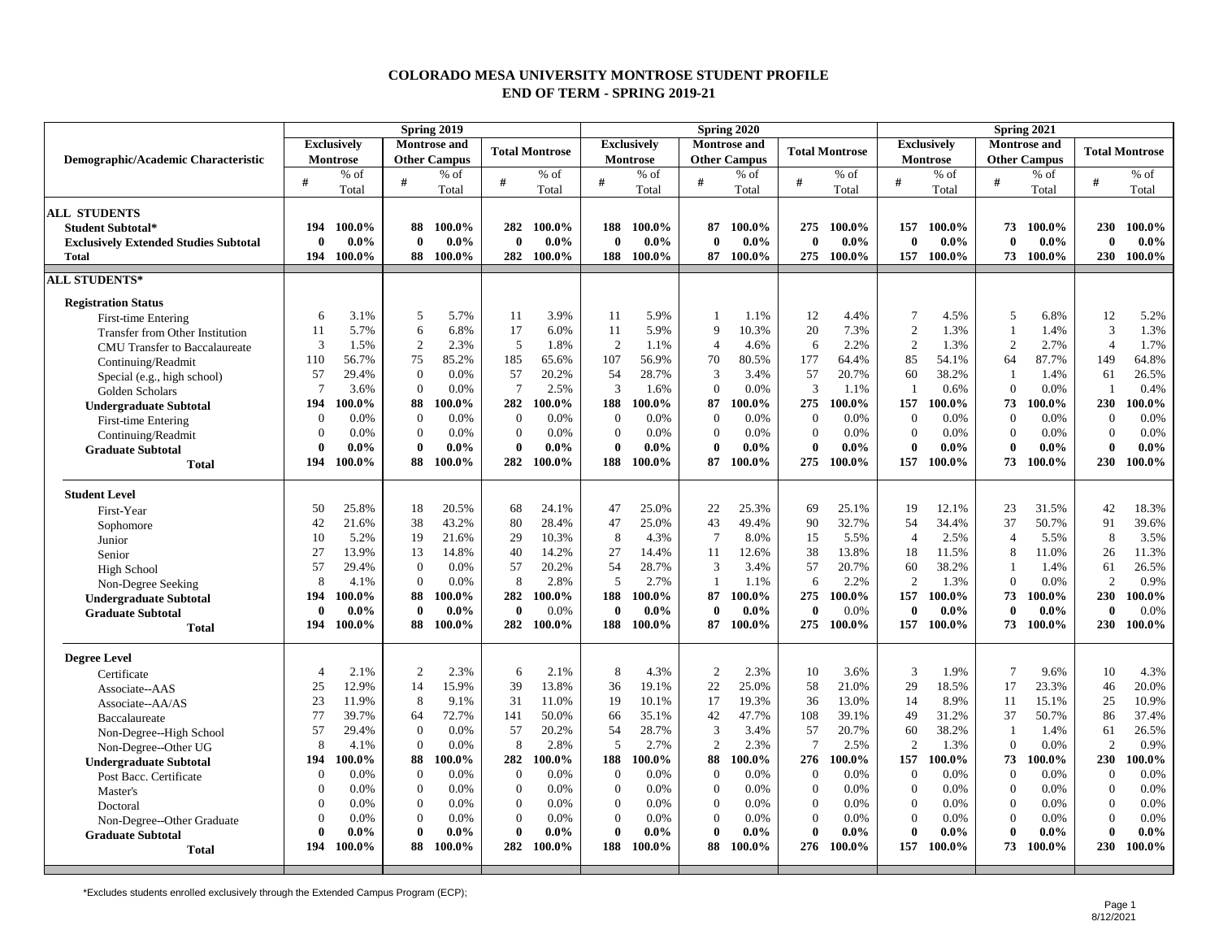## **COLORADO MESA UNIVERSITY MONTROSE STUDENT PROFILE END OF TERM - SPRING 2019-21**

|                                              | Spring 2019        |           |                |                     |                  |                       |                |                    |                  | Spring 2020         |                 |                       | Spring 2021      |                    |                          |         |                       |         |  |
|----------------------------------------------|--------------------|-----------|----------------|---------------------|------------------|-----------------------|----------------|--------------------|------------------|---------------------|-----------------|-----------------------|------------------|--------------------|--------------------------|---------|-----------------------|---------|--|
|                                              | <b>Exclusively</b> |           |                | <b>Montrose</b> and |                  | <b>Total Montrose</b> |                | <b>Exclusively</b> |                  | <b>Montrose</b> and |                 | <b>Total Montrose</b> |                  | <b>Exclusively</b> | <b>Montrose</b> and      |         | <b>Total Montrose</b> |         |  |
| Demographic/Academic Characteristic          |                    | Montrose  |                | <b>Other Campus</b> |                  |                       |                | Montrose           |                  | <b>Other Campus</b> |                 |                       | Montrose         |                    | <b>Other Campus</b>      |         |                       |         |  |
|                                              | #                  | % of      | #              | $%$ of              | #                | $%$ of                | #              | % of               | #                | % of                | #               | % of                  | #                | % of               | $\#$                     | $%$ of  | #                     | $%$ of  |  |
|                                              |                    | Total     |                | Total               |                  | Total                 |                | Total              |                  | Total               |                 | Total                 |                  | Total              |                          | Total   |                       | Total   |  |
| <b>ALL STUDENTS</b>                          |                    |           |                |                     |                  |                       |                |                    |                  |                     |                 |                       |                  |                    |                          |         |                       |         |  |
| <b>Student Subtotal*</b>                     | 194                | $100.0\%$ | 88             | 100.0%              | 282              | 100.0%                | 188            | 100.0%             | 87               | 100.0%              | 275             | 100.0%                | 157              | 100.0%             | 73                       | 100.0%  | 230                   | 100.0%  |  |
| <b>Exclusively Extended Studies Subtotal</b> | $\mathbf{0}$       | $0.0\%$   | $\mathbf{0}$   | $0.0\%$             | $\bf{0}$         | $0.0\%$               | $\mathbf{0}$   | $0.0\%$            | $\bf{0}$         | $0.0\%$             | $\bf{0}$        | $0.0\%$               | $\bf{0}$         | $0.0\%$            | $\mathbf{0}$             | $0.0\%$ | $\bf{0}$              | $0.0\%$ |  |
| <b>Total</b>                                 | 194                | $100.0\%$ | 88             | $100.0\%$           | 282              | 100.0%                | 188            | 100.0%             | 87               | 100.0%              | 275             | 100.0%                | 157              | 100.0%             | 73                       | 100.0%  | 230                   | 100.0%  |  |
| <b>ALL STUDENTS*</b>                         |                    |           |                |                     |                  |                       |                |                    |                  |                     |                 |                       |                  |                    |                          |         |                       |         |  |
| <b>Registration Status</b>                   |                    |           |                |                     |                  |                       |                |                    |                  |                     |                 |                       |                  |                    |                          |         |                       |         |  |
| First-time Entering                          | 6                  | 3.1%      | 5              | 5.7%                | 11               | 3.9%                  | 11             | 5.9%               | $\overline{1}$   | 1.1%                | 12              | 4.4%                  | $\overline{7}$   | 4.5%               | 5                        | 6.8%    | 12                    | 5.2%    |  |
| Transfer from Other Institution              | 11                 | 5.7%      | 6              | 6.8%                | 17               | 6.0%                  | 11             | 5.9%               | 9                | 10.3%               | 20              | 7.3%                  | $\sqrt{2}$       | 1.3%               | $\mathbf{1}$             | 1.4%    | 3                     | 1.3%    |  |
| <b>CMU</b> Transfer to Baccalaureate         | 3                  | 1.5%      | $\overline{c}$ | 2.3%                | $\overline{5}$   | 1.8%                  | $\overline{2}$ | 1.1%               | $\overline{4}$   | 4.6%                | 6               | 2.2%                  | $\overline{c}$   | 1.3%               | $\overline{c}$           | 2.7%    | $\overline{4}$        | 1.7%    |  |
| Continuing/Readmit                           | 110                | 56.7%     | 75             | 85.2%               | 185              | 65.6%                 | 107            | 56.9%              | 70               | 80.5%               | 177             | 64.4%                 | 85               | 54.1%              | 64                       | 87.7%   | 149                   | 64.8%   |  |
| Special (e.g., high school)                  | 57                 | 29.4%     | $\theta$       | 0.0%                | 57               | 20.2%                 | 54             | 28.7%              | 3                | 3.4%                | 57              | 20.7%                 | 60               | 38.2%              | $\mathbf{1}$             | 1.4%    | 61                    | 26.5%   |  |
| Golden Scholars                              | $\overline{7}$     | 3.6%      | $\Omega$       | 0.0%                | $\overline{7}$   | 2.5%                  | $\overline{3}$ | 1.6%               | $\mathbf{0}$     | 0.0%                | $\mathfrak{Z}$  | 1.1%                  | -1               | 0.6%               | $\Omega$                 | 0.0%    | $\mathbf{1}$          | 0.4%    |  |
| <b>Undergraduate Subtotal</b>                | 194                | 100.0%    | 88             | 100.0%              | 282              | 100.0%                | 188            | $.00.0\%$          | 87               | 100.0%              | 275             | 100.0%                | 157              | 100.0%             | 73                       | 100.0%  | 230                   | 100.0%  |  |
| First-time Entering                          | $\Omega$           | 0.0%      | $\mathbf{0}$   | 0.0%                | $\mathbf{0}$     | 0.0%                  | $\mathbf{0}$   | 0.0%               | $\mathbf{0}$     | 0.0%                | $\mathbf{0}$    | 0.0%                  | $\mathbf{0}$     | 0.0%               | $\mathbf{0}$             | 0.0%    | $\mathbf{0}$          | 0.0%    |  |
| Continuing/Readmit                           | $\Omega$           | 0.0%      | $\mathbf{0}$   | 0.0%                | $\mathbf{0}$     | 0.0%                  | $\theta$       | 0.0%               | $\mathbf{0}$     | 0.0%                | $\overline{0}$  | 0.0%                  | $\mathbf{0}$     | 0.0%               | $\mathbf{0}$             | 0.0%    | $\boldsymbol{0}$      | 0.0%    |  |
| <b>Graduate Subtotal</b>                     |                    | $0.0\%$   | $\bf{0}$       | $0.0\%$             | $\mathbf{0}$     | $0.0\%$               | $\theta$       | $0.0\%$            | $\bf{0}$         | $0.0\%$             | $\bf{0}$        | $0.0\%$               | $\bf{0}$         | $0.0\%$            | $\mathbf{0}$             | $0.0\%$ | $\mathbf{0}$          | $0.0\%$ |  |
| <b>Total</b>                                 | 194                | 100.0%    | 88             | 100.0%              | 282              | 100.0%                | 188            | 100.0%             | 87               | 100.0%              | 275             | 100.0%                | 157              | 100.0%             | 73                       | 100.0%  | 230                   | 100.0%  |  |
| <b>Student Level</b>                         |                    |           |                |                     |                  |                       |                |                    |                  |                     |                 |                       |                  |                    |                          |         |                       |         |  |
| First-Year                                   | 50                 | 25.8%     | 18             | 20.5%               | 68               | 24.1%                 | 47             | 25.0%              | 22               | 25.3%               | 69              | 25.1%                 | 19               | 12.1%              | 23                       | 31.5%   | 42                    | 18.3%   |  |
| Sophomore                                    | 42                 | 21.6%     | 38             | 43.2%               | 80               | 28.4%                 | 47             | 25.0%              | 43               | 49.4%               | 90              | 32.7%                 | 54               | 34.4%              | 37                       | 50.7%   | 91                    | 39.6%   |  |
| Junior                                       | 10                 | 5.2%      | 19             | 21.6%               | 29               | 10.3%                 | 8              | 4.3%               | $7\phantom{.0}$  | 8.0%                | 15              | 5.5%                  | $\overline{4}$   | 2.5%               | $\overline{4}$           | 5.5%    | 8                     | 3.5%    |  |
| Senior                                       | 27                 | 13.9%     | 13             | 14.8%               | 40               | 14.2%                 | 27             | 14.4%              | 11               | 12.6%               | 38              | 13.8%                 | 18               | 11.5%              | 8                        | 11.0%   | 26                    | 11.3%   |  |
| <b>High School</b>                           | 57                 | 29.4%     | $\overline{0}$ | 0.0%                | 57               | 20.2%                 | 54             | 28.7%              | 3                | 3.4%                | 57              | 20.7%                 | 60               | 38.2%              | $\mathbf{1}$             | 1.4%    | 61                    | 26.5%   |  |
| Non-Degree Seeking                           | 8                  | 4.1%      | $\Omega$       | 0.0%                | 8                | 2.8%                  | 5              | 2.7%               | -1               | 1.1%                | 6               | 2.2%                  | 2                | 1.3%               | $\Omega$                 | 0.0%    | $\overline{2}$        | 0.9%    |  |
| <b>Undergraduate Subtotal</b>                | 194                | 100.0%    | 88             | 100.0%              | 282              | 100.0%                | 188            | 100.0%             | 87               | 100.0%              | 275             | 100.0%                | 157              | 100.0%             | 73                       | 100.0%  | 230                   | 100.0%  |  |
| <b>Graduate Subtotal</b>                     |                    | $0.0\%$   | $\mathbf{0}$   | $0.0\%$             | $\mathbf{0}$     | 0.0%                  | $\mathbf{0}$   | $0.0\%$            | $\mathbf{0}$     | $0.0\%$             | $\mathbf{0}$    | 0.0%                  | $\bf{0}$         | $0.0\%$            | $\theta$                 | $0.0\%$ | $\mathbf{0}$          | 0.0%    |  |
| <b>Total</b>                                 | 194                | 100.0%    | 88             | 100.0%              | 282              | 100.0%                | 188            | 100.0%             | 87               | 100.0%              | 275             | 100.0%                | 157              | 100.0%             | 73                       | 100.0%  | 230                   | 100.0%  |  |
|                                              |                    |           |                |                     |                  |                       |                |                    |                  |                     |                 |                       |                  |                    |                          |         |                       |         |  |
| <b>Degree Level</b>                          |                    |           |                |                     |                  |                       |                |                    |                  |                     |                 |                       |                  |                    |                          |         |                       |         |  |
| Certificate                                  | $\mathbf 4$        | 2.1%      | $\overline{c}$ | 2.3%                | 6                | 2.1%                  | 8              | 4.3%               | $\overline{2}$   | 2.3%                | 10              | 3.6%                  | 3                | 1.9%               | $\overline{7}$           | 9.6%    | 10                    | 4.3%    |  |
| Associate--AAS                               | 25                 | 12.9%     | 14             | 15.9%               | 39               | 13.8%                 | 36             | 19.1%              | 22               | 25.0%               | 58              | 21.0%                 | 29               | 18.5%              | 17                       | 23.3%   | 46                    | 20.0%   |  |
| Associate--AA/AS                             | 23                 | 11.9%     | 8              | 9.1%                | 31               | 11.0%                 | 19             | 10.1%              | 17               | 19.3%               | 36              | 13.0%                 | 14               | 8.9%               | 11                       | 15.1%   | 25                    | 10.9%   |  |
| Baccalaureate                                | 77                 | 39.7%     | 64             | 72.7%               | 141              | 50.0%                 | 66             | 35.1%              | 42               | 47.7%               | 108             | 39.1%                 | 49               | 31.2%              | 37                       | 50.7%   | 86                    | 37.4%   |  |
| Non-Degree--High School                      | 57                 | 29.4%     | $\overline{0}$ | 0.0%                | 57               | 20.2%                 | 54             | 28.7%              | 3                | 3.4%                | 57              | 20.7%                 | 60               | 38.2%              |                          | 1.4%    | 61                    | 26.5%   |  |
| Non-Degree--Other UG                         | 8                  | 4.1%      | $\mathbf{0}$   | 0.0%                | 8                | 2.8%                  | 5              | 2.7%               | 2                | 2.3%                | $7\phantom{.0}$ | 2.5%                  | 2                | 1.3%               | $\mathbf{0}$             | 0.0%    | $\overline{2}$        | 0.9%    |  |
| <b>Undergraduate Subtotal</b>                | 194                | $100.0\%$ | 88             | 100.0%              | 282              | 100.0%                | 188            | 100.0%             | 88               | 100.0%              | 276             | 100.0%                | 157              | 100.0%             | 73                       | 100.0%  | 230                   | 100.0%  |  |
| Post Bacc. Certificate                       | $\Omega$           | 0.0%      | $\mathbf{0}$   | 0.0%                | $\boldsymbol{0}$ | 0.0%                  | $\theta$       | 0.0%               | $\overline{0}$   | 0.0%                | $\overline{0}$  | 0.0%                  | $\boldsymbol{0}$ | 0.0%               | $\overline{0}$           | 0.0%    | $\boldsymbol{0}$      | 0.0%    |  |
| Master's                                     | $\Omega$           | 0.0%      | $\mathbf{0}$   | 0.0%                | $\boldsymbol{0}$ | 0.0%                  | $\Omega$       | 0.0%               | $\boldsymbol{0}$ | 0.0%                | 0               | 0.0%                  | $\boldsymbol{0}$ | 0.0%               | $\mathbf{0}$<br>$\theta$ | 0.0%    | $\overline{0}$        | 0.0%    |  |
| Doctoral                                     |                    | 0.0%      | $\mathbf{0}$   | 0.0%                | $\overline{0}$   | 0.0%                  | $\Omega$       | 0.0%               | $\boldsymbol{0}$ | 0.0%                | $\overline{0}$  | 0.0%                  | $\boldsymbol{0}$ | 0.0%               |                          | 0.0%    | $\boldsymbol{0}$      | 0.0%    |  |
| Non-Degree--Other Graduate                   |                    | 0.0%      | $\mathbf{0}$   | 0.0%                | $\Omega$         | 0.0%                  | $\theta$       | 0.0%               | $\mathbf{0}$     | 0.0%                | $\mathbf{0}$    | 0.0%                  | $\mathbf{0}$     | 0.0%               | $\theta$                 | 0.0%    | $\overline{0}$        | 0.0%    |  |
| <b>Graduate Subtotal</b>                     | $\mathbf 0$        | $0.0\%$   | $\mathbf{0}$   | $0.0\%$             | $\mathbf 0$      | $0.0\%$               | $\mathbf{0}$   | $0.0\%$            | $\bf{0}$<br>88   | $0.0\%$             | $\mathbf{0}$    | $0.0\%$               | $\bf{0}$         | $0.0\%$            | $\theta$                 | $0.0\%$ | $\theta$<br>230       | $0.0\%$ |  |
| <b>Total</b>                                 | 194                | 100.0%    | 88             | 100.0%              | 282              | 100.0%                | 188            | 100.0%             |                  | 100.0%              | 276             | 100.0%                | 157              | 100.0%             | 73                       | 100.0%  |                       | 100.0%  |  |

\*Excludes students enrolled exclusively through the Extended Campus Program (ECP);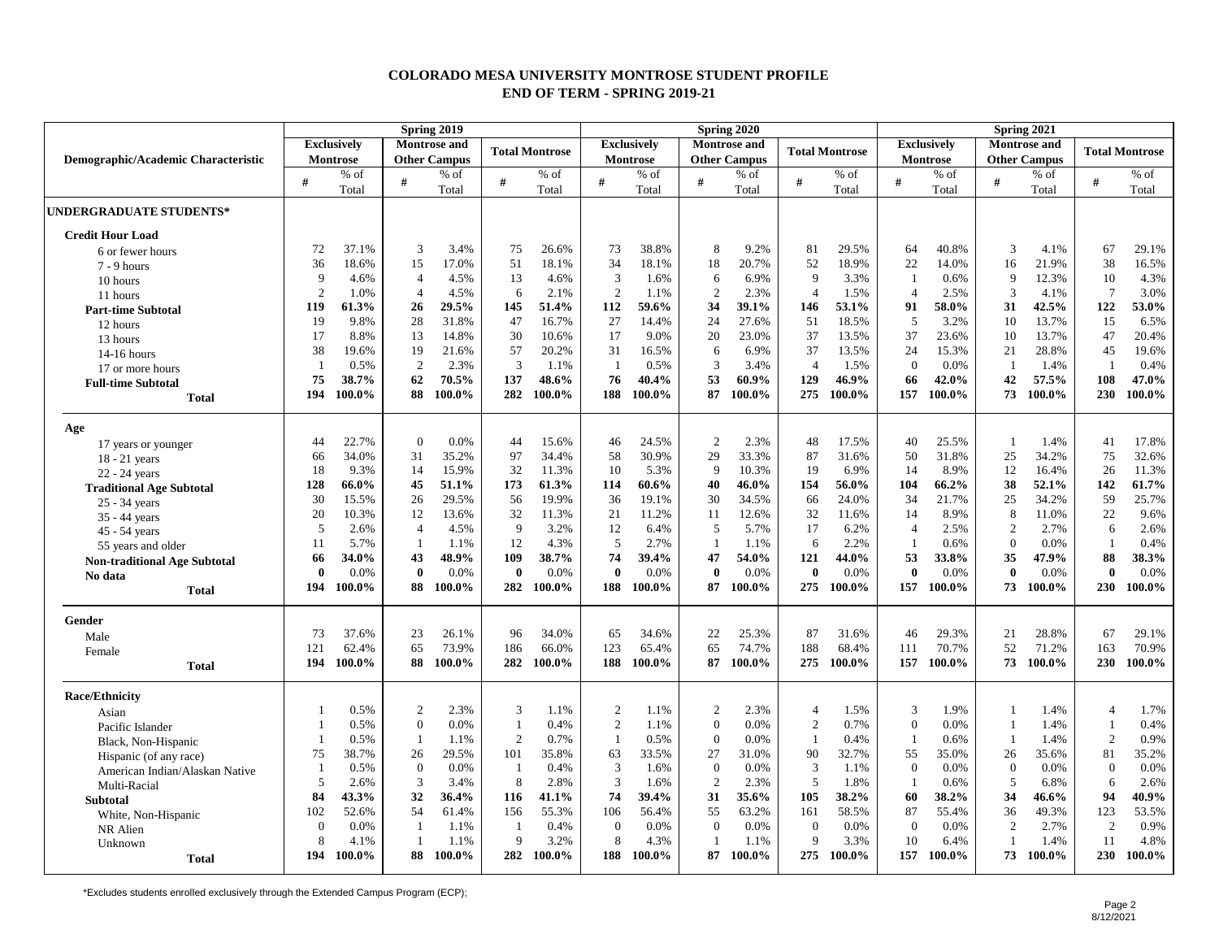## **COLORADO MESA UNIVERSITY MONTROSE STUDENT PROFILE END OF TERM - SPRING 2019-21**

|                                     | Spring 2019        |        |                |                                              |                |                                           |                |        |                     | Spring 2020 |                       |        | Spring 2021        |                                            |                  |                       |                |         |  |
|-------------------------------------|--------------------|--------|----------------|----------------------------------------------|----------------|-------------------------------------------|----------------|--------|---------------------|-------------|-----------------------|--------|--------------------|--------------------------------------------|------------------|-----------------------|----------------|---------|--|
|                                     | <b>Exclusively</b> |        |                | <b>Montrose</b> and<br><b>Total Montrose</b> |                | <b>Exclusively</b><br><b>Montrose and</b> |                |        |                     |             | <b>Total Montrose</b> |        | <b>Exclusively</b> | <b>Montrose</b> and<br><b>Other Campus</b> |                  | <b>Total Montrose</b> |                |         |  |
| Demographic/Academic Characteristic | Montrose           |        |                | <b>Other Campus</b>                          |                |                                           | Montrose       |        | <b>Other Campus</b> |             |                       |        | <b>Montrose</b>    |                                            |                  |                       |                |         |  |
|                                     | #                  | % of   | #              | $%$ of                                       | #              | $%$ of                                    | #              | $%$ of | #                   | $%$ of      | #                     | $%$ of | #                  | $%$ of                                     | #                | % of                  | #              | $\%$ of |  |
|                                     |                    | Total  |                | Total                                        |                | Total                                     |                | Total  |                     | Total       |                       | Total  |                    | Total                                      |                  | Total                 |                | Total   |  |
| <b>UNDERGRADUATE STUDENTS*</b>      |                    |        |                |                                              |                |                                           |                |        |                     |             |                       |        |                    |                                            |                  |                       |                |         |  |
| <b>Credit Hour Load</b>             |                    |        |                |                                              |                |                                           |                |        |                     |             |                       |        |                    |                                            |                  |                       |                |         |  |
| 6 or fewer hours                    | 72                 | 37.1%  | 3              | 3.4%                                         | 75             | 26.6%                                     | 73             | 38.8%  | 8                   | 9.2%        | 81                    | 29.5%  | 64                 | 40.8%                                      | 3                | 4.1%                  | 67             | 29.1%   |  |
| $7 - 9$ hours                       | 36                 | 18.6%  | 15             | 17.0%                                        | 51             | 18.1%                                     | 34             | 18.1%  | 18                  | 20.7%       | 52                    | 18.9%  | 22                 | 14.0%                                      | 16               | 21.9%                 | 38             | 16.5%   |  |
| 10 hours                            | 9                  | 4.6%   | $\overline{4}$ | 4.5%                                         | 13             | 4.6%                                      | 3              | 1.6%   | 6                   | 6.9%        | 9                     | 3.3%   | $\mathbf{1}$       | 0.6%                                       | 9                | 12.3%                 | 10             | 4.3%    |  |
| 11 hours                            | $\overline{2}$     | 1.0%   | $\overline{4}$ | 4.5%                                         | 6              | 2.1%                                      | $\overline{2}$ | 1.1%   | $\overline{2}$      | 2.3%        | $\overline{4}$        | 1.5%   | $\overline{4}$     | 2.5%                                       | 3                | 4.1%                  | $\tau$         | 3.0%    |  |
| <b>Part-time Subtotal</b>           | 119                | 61.3%  | 26             | 29.5%                                        | 145            | 51.4%                                     | 112            | 59.6%  | 34                  | 39.1%       | 146                   | 53.1%  | 91                 | 58.0%                                      | 31               | 42.5%                 | 122            | 53.0%   |  |
| 12 hours                            | 19                 | 9.8%   | 28             | 31.8%                                        | 47             | 16.7%                                     | 27             | 14.4%  | 24                  | 27.6%       | 51                    | 18.5%  | 5                  | 3.2%                                       | 10               | 13.7%                 | 15             | 6.5%    |  |
| 13 hours                            | 17                 | 8.8%   | 13             | 14.8%                                        | 30             | 10.6%                                     | 17             | 9.0%   | 20                  | 23.0%       | 37                    | 13.5%  | 37                 | 23.6%                                      | 10               | 13.7%                 | 47             | 20.4%   |  |
| $14-16$ hours                       | 38                 | 19.6%  | 19             | 21.6%                                        | 57             | 20.2%                                     | 31             | 16.5%  | 6                   | 6.9%        | 37                    | 13.5%  | 24                 | 15.3%                                      | 21               | 28.8%                 | 45             | 19.6%   |  |
| 17 or more hours                    | -1                 | 0.5%   | 2              | 2.3%                                         | 3              | 1.1%                                      | - 1            | 0.5%   | 3                   | 3.4%        | $\overline{4}$        | 1.5%   | $\overline{0}$     | 0.0%                                       | $\mathbf{1}$     | 1.4%                  | -1             | 0.4%    |  |
| <b>Full-time Subtotal</b>           | 75                 | 38.7%  | 62             | 70.5%                                        | 137            | 48.6%                                     | 76             | 40.4%  | 53                  | 60.9%       | 129                   | 46.9%  | 66                 | 42.0%                                      | 42               | 57.5%                 | 108            | 47.0%   |  |
| <b>Total</b>                        | 194                | 100.0% | 88             | 100.0%                                       | 282            | 100.0%                                    | 188            | 100.0% | 87                  | 100.0%      | 275                   | 100.0% | 157                | 100.0%                                     | 73               | 100.0%                | 230            | 100.0%  |  |
| Age                                 |                    |        |                |                                              |                |                                           |                |        |                     |             |                       |        |                    |                                            |                  |                       |                |         |  |
| 17 years or younger                 | 44                 | 22.7%  | $\overline{0}$ | 0.0%                                         | 44             | 15.6%                                     | 46             | 24.5%  | 2                   | 2.3%        | 48                    | 17.5%  | 40                 | 25.5%                                      | $\mathbf{1}$     | 1.4%                  | 41             | 17.8%   |  |
| $18 - 21$ years                     | 66                 | 34.0%  | 31             | 35.2%                                        | 97             | 34.4%                                     | 58             | 30.9%  | 29                  | 33.3%       | 87                    | 31.6%  | 50                 | 31.8%                                      | 25               | 34.2%                 | 75             | 32.6%   |  |
| 22 - 24 years                       | 18                 | 9.3%   | 14             | 15.9%                                        | 32             | 11.3%                                     | 10             | 5.3%   | 9                   | 10.3%       | 19                    | 6.9%   | 14                 | 8.9%                                       | 12               | 16.4%                 | 26             | 11.3%   |  |
| <b>Traditional Age Subtotal</b>     | 128                | 66.0%  | 45             | 51.1%                                        | 173            | 61.3%                                     | 114            | 60.6%  | 40                  | 46.0%       | 154                   | 56.0%  | 104                | 66.2%                                      | 38               | 52.1%                 | 142            | 61.7%   |  |
| 25 - 34 years                       | 30                 | 15.5%  | 26             | 29.5%                                        | 56             | 19.9%                                     | 36             | 19.1%  | 30                  | 34.5%       | 66                    | 24.0%  | 34                 | 21.7%                                      | 25               | 34.2%                 | 59             | 25.7%   |  |
| 35 - 44 years                       | 20                 | 10.3%  | 12             | 13.6%                                        | 32             | 11.3%                                     | 21             | 11.2%  | 11                  | 12.6%       | 32                    | 11.6%  | 14                 | 8.9%                                       | 8                | 11.0%                 | 22             | 9.6%    |  |
| 45 - 54 years                       | 5                  | 2.6%   | $\overline{4}$ | 4.5%                                         | 9              | 3.2%                                      | 12             | 6.4%   | 5                   | 5.7%        | 17                    | 6.2%   | $\overline{4}$     | 2.5%                                       | $\overline{2}$   | 2.7%                  | 6              | 2.6%    |  |
| 55 years and older                  | 11                 | 5.7%   | $\overline{1}$ | 1.1%                                         | 12             | 4.3%                                      | 5              | 2.7%   | $\overline{1}$      | 1.1%        | 6                     | 2.2%   | $\overline{1}$     | 0.6%                                       | $\overline{0}$   | 0.0%                  | $\overline{1}$ | 0.4%    |  |
| <b>Non-traditional Age Subtotal</b> | 66                 | 34.0%  | 43             | 48.9%                                        | 109            | 38.7%                                     | 74             | 39.4%  | 47                  | 54.0%       | 121                   | 44.0%  | 53                 | 33.8%                                      | 35               | 47.9%                 | 88             | 38.3%   |  |
| No data                             | $\mathbf{0}$       | 0.0%   | $\mathbf{0}$   | 0.0%                                         | $\bf{0}$       | 0.0%                                      | $\theta$       | 0.0%   | $\bf{0}$            | 0.0%        | $\bf{0}$              | 0.0%   | $\bf{0}$           | 0.0%                                       | $\bf{0}$         | 0.0%                  | $\bf{0}$       | 0.0%    |  |
| <b>Total</b>                        | 194                | 100.0% | 88             | 100.0%                                       | 282            | 100.0%                                    | 188            | 100.0% | 87                  | 100.0%      | 275                   | 100.0% | 157                | 100.0%                                     | 73               | 100.0%                | 230            | 100.0%  |  |
| Gender                              |                    |        |                |                                              |                |                                           |                |        |                     |             |                       |        |                    |                                            |                  |                       |                |         |  |
| Male                                | 73                 | 37.6%  | 23             | 26.1%                                        | 96             | 34.0%                                     | 65             | 34.6%  | 22                  | 25.3%       | 87                    | 31.6%  | 46                 | 29.3%                                      | 21               | 28.8%                 | 67             | 29.1%   |  |
| Female                              | 121                | 62.4%  | 65             | 73.9%                                        | 186            | 66.0%                                     | 123            | 65.4%  | 65                  | 74.7%       | 188                   | 68.4%  | 111                | 70.7%                                      | 52               | 71.2%                 | 163            | 70.9%   |  |
| <b>Total</b>                        | 194                | 100.0% | 88             | 100.0%                                       | 282            | 100.0%                                    | 188            | 100.0% | 87                  | 100.0%      | 275                   | 100.0% | 157                | 100.0%                                     | 73               | 100.0%                | 230            | 100.0%  |  |
| <b>Race/Ethnicity</b>               |                    |        |                |                                              |                |                                           |                |        |                     |             |                       |        |                    |                                            |                  |                       |                |         |  |
| Asian                               |                    | 0.5%   | $\sqrt{2}$     | 2.3%                                         | 3              | 1.1%                                      | $\overline{2}$ | 1.1%   | $\overline{c}$      | 2.3%        | $\overline{4}$        | 1.5%   | 3                  | 1.9%                                       |                  | 1.4%                  | $\overline{4}$ | 1.7%    |  |
| Pacific Islander                    |                    | 0.5%   | $\mathbf{0}$   | 0.0%                                         | $\mathbf{1}$   | 0.4%                                      | $\overline{2}$ | 1.1%   | $\boldsymbol{0}$    | 0.0%        | 2                     | 0.7%   | $\mathbf{0}$       | 0.0%                                       |                  | 1.4%                  | $\mathbf{1}$   | 0.4%    |  |
| Black, Non-Hispanic                 | $\overline{1}$     | 0.5%   | $\mathbf{1}$   | 1.1%                                         | $\overline{c}$ | 0.7%                                      | $\overline{1}$ | 0.5%   | $\mathbf{0}$        | 0.0%        | $\overline{1}$        | 0.4%   | $\mathbf{1}$       | 0.6%                                       | $\mathbf{1}$     | 1.4%                  | 2              | 0.9%    |  |
| Hispanic (of any race)              | 75                 | 38.7%  | 26             | 29.5%                                        | 101            | 35.8%                                     | 63             | 33.5%  | 27                  | 31.0%       | 90                    | 32.7%  | 55                 | 35.0%                                      | 26               | 35.6%                 | 81             | 35.2%   |  |
| American Indian/Alaskan Native      | -1                 | 0.5%   | $\overline{0}$ | 0.0%                                         | -1             | 0.4%                                      | 3              | 1.6%   | $\boldsymbol{0}$    | 0.0%        | $\overline{3}$        | 1.1%   | $\mathbf{0}$       | 0.0%                                       | $\boldsymbol{0}$ | 0.0%                  | $\mathbf{0}$   | 0.0%    |  |
| Multi-Racial                        | 5                  | 2.6%   | 3              | 3.4%                                         | 8              | 2.8%                                      | 3              | 1.6%   | 2                   | 2.3%        | 5                     | 1.8%   | -1                 | 0.6%                                       | 5                | 6.8%                  | 6              | 2.6%    |  |
| <b>Subtotal</b>                     | 84                 | 43.3%  | 32             | 36.4%                                        | 116            | 41.1%                                     | 74             | 39.4%  | 31                  | 35.6%       | 105                   | 38.2%  | 60                 | 38.2%                                      | 34               | 46.6%                 | 94             | 40.9%   |  |
| White, Non-Hispanic                 | 102                | 52.6%  | 54             | 61.4%                                        | 156            | 55.3%                                     | 106            | 56.4%  | 55                  | 63.2%       | 161                   | 58.5%  | 87                 | 55.4%                                      | 36               | 49.3%                 | 123            | 53.5%   |  |
| NR Alien                            | $\overline{0}$     | 0.0%   | $\mathbf{1}$   | 1.1%                                         | -1             | 0.4%                                      | $\overline{0}$ | 0.0%   | $\mathbf{0}$        | 0.0%        | $\mathbf{0}$          | 0.0%   | $\mathbf{0}$       | 0.0%                                       | 2                | 2.7%                  | 2              | 0.9%    |  |
| Unknown                             | 8                  | 4.1%   | -1             | 1.1%                                         | 9              | 3.2%                                      | 8              | 4.3%   | $\mathbf{1}$        | 1.1%        | 9                     | 3.3%   | 10                 | 6.4%                                       |                  | 1.4%                  | 11             | 4.8%    |  |
| <b>Total</b>                        | 194                | 100.0% | 88             | 100.0%                                       | 282            | 100.0%                                    | 188            | 100.0% | 87                  | 100.0%      | 275                   | 100.0% | 157                | 100.0%                                     | 73               | 100.0%                | 230            | 100.0%  |  |

\*Excludes students enrolled exclusively through the Extended Campus Program (ECP);